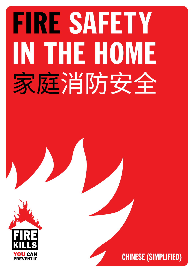## FIRE SAFETY IN THE HOME 家庭消防安全



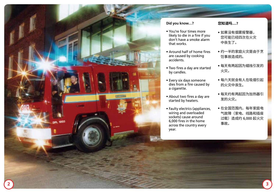

### **Did you know…?**

- You're four times more likely to die in a fire if you don't have a smoke alarm that works.
- Around half of home fires are caused by cooking accidents.
- Two fires a day are started by candles.
- Every six days someone dies from a fire caused by a cigarette.
- About two fires a day are started by heaters.
- Faulty electrics (appliances, wiring and overloaded sockets) cause around 6,000 fires in the home across the country every year.

### **您知道吗… ?**

- 如果没有烟雾报警器, 您可能已经四次在火灾 中丧生了。
- 约一半的家庭火灾是由于烹 饪事故造成的。
- 每天有两起因为蜡烛引发的 火灾。
- 每六天就会有人在吸烟引起 的火灾中丧生。
- 每天约有两起因为加热器引 发的火灾。
- 在全国范围内,每年家庭电 气故障(家电、线路和插座 过载)造成约 6,000 起火灾 事故。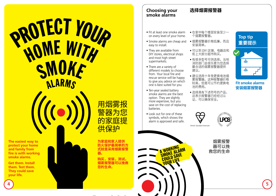## **PROTECT YOUR** HOME WITH SMOKE **ALARMS**

**The easiest way to protect your home and family from fire is with working smoke alarms.**

**Get them. Install them. Test them. They could save your life.**



用烟雾报 警器为您 的家庭提 供保护

**为家庭和家人提供 防火保护最简单的方 式就是采用烟雾报警 器。**

**购买,安装,测试。 烟雾报警器可以挽救 您的生命。**

### **Choosing your smoke alarms**

### **选择烟雾报警器**

- Fit at least one smoke alarm on every level of your home.
- Smoke alarms are cheap and easy to install.
- They are available from DIY stores, electrical shops and most high street supermarkets.
- There are a variety of different models to choose from. Your local fire and rescue service will be happy to give you advice on which one is best suited for you.
- Ten-year sealed battery smoke alarms are the best option. They are slightly more expensive, but you save on the cost of replacing batteries.
- Look out for one of these symbols, which shows the alarm is approved and safe.

**A WORKING** A WORKING<br>SMOKE ALARM SMONE SAVE YOUR LIFE

- 在家中每个楼层安装至少一 个烟雾报警器。
- 烟雾报警器价格低廉,而且 安装简单。
- 可以到 DIY 店铺、电器店和 街上大部分超市购买。
- 有很多型号可供选择。当地 消防部门会很乐意为您选择 最合适的烟雾报警器提供 建议。
- 建议选用十年免更换电池烟 雾报警器。这种报警器价格 较高,但是可以节约更换电 池的费用。
- 选择具有下述符号的产品, 这表示报警器已经经过认 证,可以确保安全。

British Standard Kitemark



烟雾报警 器可以挽 救您的生命



**Top tip**

**重要提示**

### **Fit smoke alarms 安装烟雾报警器**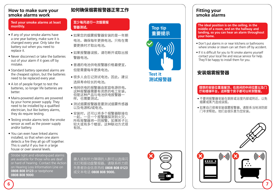### **How to make sure your smoke alarms work**

### **Test your smoke alarms at least monthly.**

- If any of your smoke alarms have a one year battery, make sure it is changed every year. Only take the battery out when you need to replace it.
- Never disconnect or take the batteries out of your alarm if it goes off by mistake.
- Standard battery operated alarms are the cheapest option, but the batteries need to be replaced every year.
- A lot of people forget to test the batteries, so longer life batteries are better.
- Mains-powered alarms are powered by your home power supply. They need to be installed by a qualified electrician, but like battery alarms, they do require testing.
- Testing smoke alarms tests the smoke sensor as well as the power supply and/or battery.
- You can even have linked alarms installed, so that when one alarm detects a fire they all go off together. This is useful if you live in a large house or over several levels.

 Strobe light and vibrating-pad alarms are available for those who are deaf or hard of hearing. Contact the Action on Hearing Loss Information Line on **0808 808 0123** or textphone **0808 808 9000**.

### **如何确保烟雾报警器正常工作**

### **至少每月进行一次烟雾报 警器测试。**

- 如果您的烟雾报警器安装的是一年期 电池,确保每年更换电池。只有在需 要更换时才取出电池。
- 如果报警器误报,请勿断开或取出报 警器电池。
- 普通的电池供电报警器价格最便宜, 但是需要每年更换电池。
- 很多人会忘记测试电池,因此,建议 选择寿命较长的电池。
- 电网供电的报警器由家庭电源供电。 这种报警器需要有资质的电工安装, 但是这种产品与电池供电报警器一 样,也需要测试。
- 测试烟雾报警器是要测试烟雾传感器 以及电源和/或电池。
- 安装时,还可以将多个报警器联接在 一起,一旦一个报警器探测到火火,<br>82年に整盟次门 所有报警器将一同报警。如果房子比 较大或有多个楼层,这种联动方式很 有效。

聋人或有听力障碍的人群可以选择闪 光灯和振动盘警报器。请联系听力损 失患者协会信息热线 **0808 808 0123** 或文本电话 **0808 808 9000**。



**Top tip**

**重要提示**

**Test it**

**测试报警器**

### **Fitting your smoke alarms**

**The ideal position is on the ceiling, in the middle of a room, and on the hallway and landing, so you can hear an alarm throughout your home.**

- Don't put alarms in or near kitchens or bathrooms where smoke or steam can set them off by accident.
- If it is difficult for you to fit smoke alarms yourself contact your local fire and rescue service for help. They'll be happy to install them for you.

### **安装烟雾报警器**

### **理想的安装位置是屋顶,在房间的中间位置以及门 厅和楼梯平台,这样整个房子都可以听到警报。**

- 不要将报警器安装在厨房或浴室内部或附近,以免 烟雾或蒸汽造成误报。
- 如果自己很难安装烟雾报警器,请联系当地消防部 门寻求帮助。他们会很乐意为您安装。





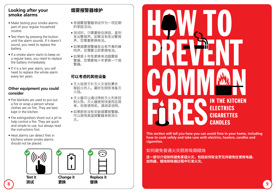### **Looking after your smoke alarms**

- Make testing your smoke alarms part of your regular household routine.
- Test them by pressing the button until the alarm sounds. If it doesn't sound, you need to replace the battery.
- If a smoke alarm starts to beep on a regular basis, you need to replace the battery immediately.
- If it is a ten year alarm, you will need to replace the whole alarm every ten years.

### **Other equipment you could consider**

- Fire blankets are used to put out a fire or wrap a person whose clothes are on fire. They are best kept in the kitchen.
- Fire extinguishers shoot out a jet to help control a fire. They are quick and simple to use, but always read the instructions first.
- Heat alarms can detect fires in kitchens where smoke alarms should not be placed.



### **烟雾报警器维护**

- 将烟雾报警器测试作为一项定期 的家庭活动。
- 测试时,只需要按住按钮,直到 发出警报声。如果没有发出警报 声, 您需要更换电池。
- 如果烟雾报警器发出有节奏的蜂 鸣声,您需要立即更换电池。
- 如果是十年免更换电池烟雾报 警器,您需要每十年更换一个报 警器。

### **可以考虑的其他设备**

- 灭火毯用于扑灭火灾或包裹衣 服起火的人。最好在厨房准备灭 火毯。
- 灭火器可以通过喷射灭火剂来控 制火势。灭火器使用快速而且简 单,但是使用前,请阅读说明。
- 如果厨房没有安装烟雾报警器, 可以使用高温报警器来探测火 灾。



**This section will tell you how you can avoid fires in your home, including how to cook safely and take care with electrics, heaters, candles and cigarettes.**

### 如何避免普通火灾厨房吸烟蜡烛

**这一部分介绍如何避免家庭火灾,包括如何安全烹饪并避免在使用电器、 加热器、蜡烛和吸烟过程中引发火灾。**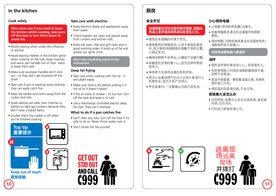### **In the kitchen**

### **Cook safely**

 **Take extra care if you need to leave the kitchen whilst cooking, take pans off the heat or turn them down to avoid risk.**

- Avoid cooking when under the influence of alcohol.
- Avoid leaving children in the kitchen alone when cooking on the hob. Keep matches and sauce pan handles out of their reach to keep them safe.
- Make sure saucepan handles don't stick out – so they don't get knocked off the stove.
- Take care if you're wearing loose clothing they can easily catch fire.
- Keep tea towels and cloths away from the cooker and hob.
- Spark devices are safer than matches or lighters to light gas cookers, because they don't have a naked flame.
- Double check the cooker is off when you've finished cooking

## **Top tip 重要提示 Top tip**



**Keep out of reach 避免接触**

### **Take care with electrics**

- Keep electrics (leads and appliances) away from water.
- Check toasters are clean and placed away from curtains and kitchen rolls.
- Keep the oven, hob and grill clean and in good working order. A build up of fat and grease can ignite a fire.

 **Don't put anything metal in the microwave**

### **Deep fat frying**

- Take care when cooking with hot oil it sets alight easily.
- Make sure food is dry before putting it in hot oil so it doesn't splash.
- $\bullet$  If the oil starts to smoke it's too hot. Turn off the heat and leave it to cool.
- Use a thermostat controlled electric deep fat fryer. They can't overheat.

### **What to do if a pan catches fire**

- Don't take any risks. Turn off the heat if it's safe to do so. Never throw water over it.
- 



### **安全烹饪**

### **如果需要在烹饪过程中离开厨房,把锅从 热源上拿开或关闭热源以防发生火灾。**

- 避免在有酒精的环境下烹饪。
- 避免使用炉架做饭时,让孩子单独在厨房 中。将火柴和炖锅柄放在接触不到的位置, 以保证安全。
- 确保炖锅柄不会伸出,以确保不会被打翻。
- 穿着宽松衣物时要小心,因为这种衣物容 易失火。
- 保持茶巾及抹布远离炊具和炉架。
- 用点火设备给燃气灶点火比用火柴或打火 机更安全,因为不会产生明火。
- 烹饪结束时,一定要确认炊具已经关闭。

### **小心使用电器**

- 让电器(导线和用电器)远离水。
- 检查烤箱是否清洁并远离窗帘和厨房 卷纸。
- 保持烤箱、炉架和烤具清洁并且摆放有序。 油脂堆积会引起着火。

### **切勿将金属物放入微波炉**

### **油炸**

- 用热油烹调时请多加小心 很容易失火。
- 在把食物放入灼热的油锅前确保其干燥, 这样不会溅油。
- 若油开始冒烟 意味着油温过高。关掉热 源并使之冷却。
- 用控温的深底电炒锅。不会过热。

### **若锅着火该怎么办**

- 切勿慌张。如果可以安全关掉热源,请关掉 热源。切勿浇水。
- 切勿自己单独处理火灾。







• Don't tackle the fire yourself.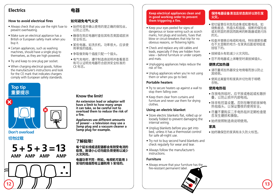### **Electrics**

### **How to avoid electrical fires**

- Always check that you use the right fuse to 始终检查并确认使用的是正确的保险丝, prevent overheating.
- Make sure an electrical appliance has a British or European safety mark when you buy it.
- Certain appliances, such as washing machines, should have a single plug to themselves, as they are high powered.
- Try and keep to one plug per socket.
- When charging electrical goods, follow the manufacturer's instructions and look for the CE mark that indicates chargers comply with European safety standards.

### **Top tip 重要提示 Top tip**



### **Don't overload**

### **5 + 5 + 3 =13 AMP AMP AMP AMP 切勿过载 了解极限!**



### **如何避免电气火灾**

**电器**

- 以防止过热。
- 确保在购买电器时查验其有否英国或欧洲 安全标志。
- 某些电器, 如洗衣机, 功率很大, 应该使 用单独的插座。
- 争取做到每个插座只配一个插头。
- 电气充电时,遵守制造商说明并查看是否 有可以证明充电器符合欧洲安全标准的 CE 标志。

### **Know the limit!**

**An extension lead or adaptor will have a limit to how many amps it can take, so be careful not to overload them to reduce the risk of a fire.** 

**Appliances use different amounts of power – a television may use a 3amp plug and a vacuum cleaner a 5amp plug for example.**

**每个延长线或适配器都会有耐受电流的 极限,故请小心切勿超负荷使用以减少 火灾风险。**

**电器功率不同 - 例如,电视机可能用 3 安培的插座而吸尘器则用 5 安培的。**

### **Keep electrical appliances clean and in good working order to prevent them triggering a fire.**

- Keep your eyes peeled for signs of dangerous or loose wiring such as scorch marks, hot plugs and sockets, fuses that blow or circuit-breakers that trip for no obvious reasons, or flickering lights.
- Check and replace any old cables and leads, especially if they are hidden from view – behind furniture or under carpets and mats.
- Unplugging appliances helps reduce the risk of fire.
- Unplug appliances when you're not using them or when you go to bed.

### **Portable heaters**

- Try to secure heaters up against a wall to stop them falling over.
- Keep them clear from curtains and furniture and never use them for drying clothes.

### **Using an electric blanket**

- Store electric blankets flat, rolled up or loosely folded to prevent damaging the internal wiring.
- Unplug blankets before you get into bed, unless it has a thermostat control for safe all-night use.
- Try not to buy second hand blankets and check regularly for wear and tear.
- Always follow the manufacturer's instructions.

### **Furniture**

• Always ensure that your furniture has the fire-resistant permanent label.

### **保持电器设备清洁且状态良好以防引发 火灾。**

- 密切留意任何危险迹象或松散电线, 如 烧焦痕迹、热插头和插座、熔断的保险丝 或无明显的原因而跳闸的断路器或是闪烁 的光。
- 检查并替换旧电缆和电线,特别是那些藏 在不太显眼的地方- 在家具后面或地毯或 挂毯下的。
- 拔掉插头有助减少火灾风险。
- 您不用电器或上床睡觉时请拔掉插头。

### **便携式加热器**

- 请尽量将加热器安全地倚墙而放以防止 其倾倒。
- 使其远离窗帘和家具并切勿用于晾晒 衣物。

### **使用电热毯**

- 存放电热毯时,应平放或卷起或松散折 叠,以防止损坏内部电线。
- 除非有控温设置,否则在睡觉前拔掉电 热毯插头,以保证整夜的使用安全。
- 尽量不要购买二手电热毯并定期检查是 否发生磨损和撕裂。
- 始终按照制造商说明使用。

### **家具**

• 始终确保您的家具有永久防火标签。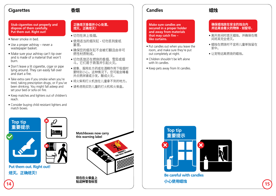### **Cigarettes**

### **香烟**

 **Stub cigarettes out properly and dispose of them carefully. Put them out. Right out!**

- Never smoke in bed.
- Use a proper ashtray never a wastepaper basket.
- Make sure your ashtray can't tip over and is made of a material that won't burn.
- Don't leave a lit cigarette, cigar or pipe lying around. They can easily fall over and start a fire.
- Take extra care if you smoke when you're tired, taking prescription drugs, or if you've been drinking. You might fall asleep and set your bed or sofa on fire.
- Keep matches and lighters out of children's reach.
- Consider buying child resistant lighters and match boxes.

### **正确熄灭香烟并小心处置。 熄灭。正确熄灭!**

- 切勿在床上吸烟。
- 使用适当的烟灰缸 切勿丢到废纸 篓里。
- 确保您的烟灰缸不会被打翻且由非可 燃性材质制成。
- 切勿丢放还在燃烧的香烟、雪茄或烟 斗。它们易于跌落并引起火灾。
- 疲惫、服用处方药或在酒精作用下吸烟时 要特别小心。这种情况下,您可能会睡着 并点燃床铺或沙发,酿成火灾。
- 将火柴和打火机放在儿童拿不到的地方。
- 请考虑购买防儿童的打火机和火柴盒。

### **Candles**

 **Make sure candles are secured in a proper holder and away from materials that may catch fire – like curtains.**

- Put candles out when you leave the room, and make sure they're put out completely at night.
- Children shouldn't be left alone with lit candles.
- Keep pets away from lit candles.

### **确保蜡烛放在安全的烛台内 并远离会着火的物体 - 如窗帘。**

- 离开房间时熄灭蜡烛,并确保在晚 间将其完全熄灭。
- 蜡烛在燃烧时不宜将儿童单独留在 家中。
- 让宠物远离燃烧的蜡烛。

**蜡烛**



**Be careful with candles 14 15 小心使用蜡烛**



**Put them out. Right out! 熄灭。正确熄灭!**





**现在在火柴盒上 贴这种警告标签**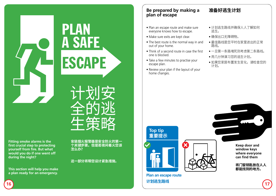**Fitting smoke alarms is the first crucial step to protecting yourself from fire. But what would you do if one went off during the night?**

**This section will help you make a plan ready for an emergency.**

**安装烟火报警器是安全防火的第一 个关键步骤。但是若夜间着火您该 怎么办?**

**这一部分将帮您设计紧急措施。**

### **Be prepared by making a plan of escape**

- Plan an escape route and make sure everyone knows how to escape.
- Make sure exits are kept clear.
- The best route is the normal way in and out of your home.
- Think of a second route in case the first one is blocked.
- Take a few minutes to practise your escape plan.
- Review your plan if the layout of your home changes.

**Plan an escape route**

**计划逃生路线**

**Top tip**

**重要提示**

- 计划逃生路线并确保人人了解如何 逃生。
- 确保出口无障碍物。

**准备好逃生计划**

- 最佳路线是您平时在家里进出的正常 路线。
- 一旦第一条路堵死则考虑第二条路线。
- 用几分钟演习您的逃生计划。
- 如果您家居布置发生变化,请检查您的 计划。

**Keep door and window keys where everyone can find them**





ESCAPE

A SAFE

PLAN

**16 17**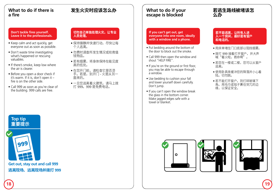### **What to do if there is a fire**

### **发生火灾时应该怎么办**

### **Don't tackle fires yourself. Leave it to the professionals.**

- Keep calm and act quickly, get everyone out as soon as possible.
- Don't waste time investigating what's happened or rescuing valuables.
- If there's smoke, keep low where the air is clearer.
- Before you open a door check if it's warm. If it is, don't open it – fire is on the other side.
- Call 999 as soon as you're clear of the building. 999 calls are free.

### **切勿自己单独处理火灾。让专业 人员处理。**

- 保持镇静并快速行动,尽快让每 个人逃离。
- 勿费时调查所发生情况或抢救值 钱物品。
- 若有烟雾,将身体保持在能见度 高的低处。
- 在您开门前, 请检查它是否烫 手。若是,别开门 - 火是从另一 面来的。
- 一旦您逃离着火建筑,请马上拨 打 999。999 是免费电话。

### **What to do if your escape is blocked**

### **若逃生路线被堵该怎 么办**

### **If you can't get out, get everyone into one room, ideally with a window and a phone.**

- Put bedding around the bottom of the door to block out the smoke.
- Call 999 then open the window and shout "HELP FIRE".
- If you're on the ground or first floor, you may be able to escape through a window.
- Use bedding to cushion your fall and lower yourself down carefully. Don't jump.
- If you can't open the window break the glass in the bottom corner. Make jagged edges safe with a towel or blanket.

### **若不能逃离,让所有人进 入一个房间,最好是有窗户 和电话的。**

- 用床单堵住门口底部以阻挡烟雾。
- 拨打 999 接着打开窗户,并大声 喊"着火啦,救命啊"。
- 若您在一楼或二楼,您可以从窗户 逃离。
- 使用卧具来缓冲您的降落并小心着 陆。切勿跳。
- 若不能打开窗户,则打碎玻璃下 角。用毛巾或毯子裹住突兀的边 缘,以保证安全。

### **Top tip 重要提示**



**逃离现场、远离现场并拨打 999**





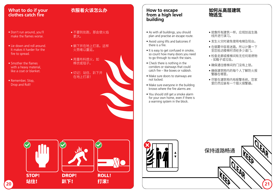### **What to do if your clothes catch fire**

- Don't run around, you'll make the flames worse.
- Lie down and roll around. It makes it harder for the fire to spread.
- Smother the flames with a heavy material, like a coat or blanket.
- Remember, Stop, Drop and Roll!

### **衣服着火该怎么办**

- 不要到处跑, 那会使火焰 更大。
- 躺下并在地上打滚。这样 火势难以蔓延。
- 用重布料熄火, 如 棉衣或毯子。
- 切记:站住、趴下并 在地上打滚!

### **How to escape from a high level building**

- As with all buildings, you should plan and practise an escape route.
- Avoid using lifts and balconies if there is a fire.
- It is easy to get confused in smoke, so count how many doors you need to go through to reach the stairs.
- Check there is nothing in the corridors or stairways that could catch fire – like boxes or rubbish.
- Make sure doors to stairways are not locked.
- Make sure everyone in the building knows where the fire alarms are.
- You should still get a smoke alarm for your own home, even if there is a warning system in the block.

### **如何从高层建筑 物逃生**

- 就像所有建筑一样, 应规划逃生路 线并进行演习。
- 发生火灾时避免使用电梯及阳台。
- 在烟雾中容易迷路,所以计算一下 至您抵达楼梯时须经多少道门。
- 检查走廊或楼梯间有无任何易燃物 - 如箱子或垃圾。
- 确保通往楼梯间的门没有上锁。
- 确保建筑物内的每个人了解防火报 警器在哪里。
- 尽管在建筑物内有报警系统, 您家 里仍然应装有一个烟火报警器。





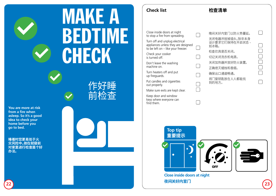## **MAKE A** BEDTIME CHECK

**You are more at risk from a fire when asleep. So it's a good idea to check your home before you go to bed.**

**睡着时您更易处于火 灾风险中。故在就寝前 对家里进行检查是个好 办法。**



### **检查清单**

 $\Box$ 

 $\Box$ 

 $\Box$ 

 $\Box$ 

 $\Box$ 

Close inside doors at night to stop a fire from spreading.

Turn off and unplug electrical appliances unless they are designed  $\Box$ to be left on – like your freezer.

Check your cooker is turned off.

Don't leave the washing machine on.

Turn heaters off and put up fireguards.

Put candles and cigarettes out properly.

Make sure exits are kept clear.

Keep door and window keys where everyone can find them.

| 晚间关好内室门以防火势蔓延。                            |
|-------------------------------------------|
| 关闭电器并拔掉插头,除非本身<br>设计要求它们保持在开启状态 -<br>如冰箱。 |
| 检杳炊具是否关闭。                                 |
| 切记关闭洗衣机电源。                                |
| 关闭加热器并放好防火装置。                             |
| 正确熄灭蜡烛和香烟。                                |
| 确保出口通道畅通。                                 |
|                                           |

将门窗钥匙放在人人都能找 到的地方。 





**Close inside doors at night 22 23 夜间关好内室门**